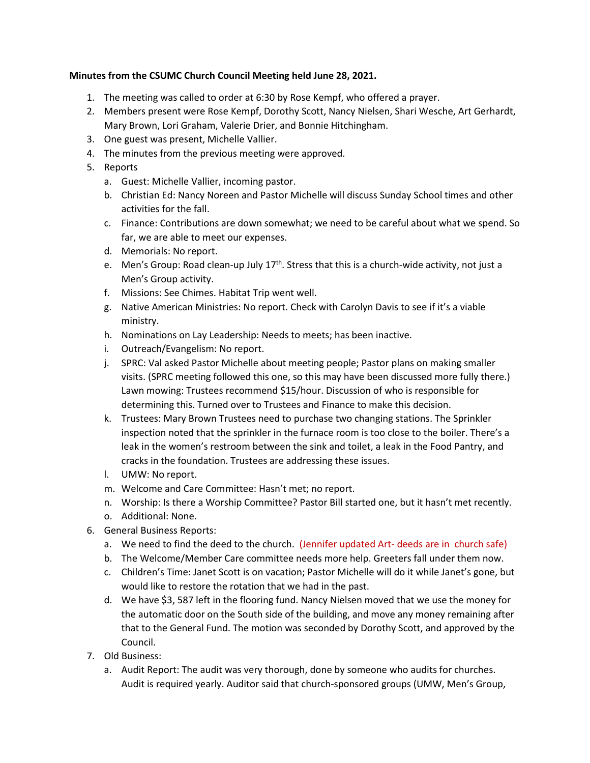## **Minutes from the CSUMC Church Council Meeting held June 28, 2021.**

- 1. The meeting was called to order at 6:30 by Rose Kempf, who offered a prayer.
- 2. Members present were Rose Kempf, Dorothy Scott, Nancy Nielsen, Shari Wesche, Art Gerhardt, Mary Brown, Lori Graham, Valerie Drier, and Bonnie Hitchingham.
- 3. One guest was present, Michelle Vallier.
- 4. The minutes from the previous meeting were approved.
- 5. Reports
	- a. Guest: Michelle Vallier, incoming pastor.
	- b. Christian Ed: Nancy Noreen and Pastor Michelle will discuss Sunday School times and other activities for the fall.
	- c. Finance: Contributions are down somewhat; we need to be careful about what we spend. So far, we are able to meet our expenses.
	- d. Memorials: No report.
	- e. Men's Group: Road clean-up July 17<sup>th</sup>. Stress that this is a church-wide activity, not just a Men's Group activity.
	- f. Missions: See Chimes. Habitat Trip went well.
	- g. Native American Ministries: No report. Check with Carolyn Davis to see if it's a viable ministry.
	- h. Nominations on Lay Leadership: Needs to meets; has been inactive.
	- i. Outreach/Evangelism: No report.
	- j. SPRC: Val asked Pastor Michelle about meeting people; Pastor plans on making smaller visits. (SPRC meeting followed this one, so this may have been discussed more fully there.) Lawn mowing: Trustees recommend \$15/hour. Discussion of who is responsible for determining this. Turned over to Trustees and Finance to make this decision.
	- k. Trustees: Mary Brown Trustees need to purchase two changing stations. The Sprinkler inspection noted that the sprinkler in the furnace room is too close to the boiler. There's a leak in the women's restroom between the sink and toilet, a leak in the Food Pantry, and cracks in the foundation. Trustees are addressing these issues.
	- l. UMW: No report.
	- m. Welcome and Care Committee: Hasn't met; no report.
	- n. Worship: Is there a Worship Committee? Pastor Bill started one, but it hasn't met recently.
	- o. Additional: None.
- 6. General Business Reports:
	- a. We need to find the deed to the church. (Jennifer updated Art- deeds are in church safe)
	- b. The Welcome/Member Care committee needs more help. Greeters fall under them now.
	- c. Children's Time: Janet Scott is on vacation; Pastor Michelle will do it while Janet's gone, but would like to restore the rotation that we had in the past.
	- d. We have \$3, 587 left in the flooring fund. Nancy Nielsen moved that we use the money for the automatic door on the South side of the building, and move any money remaining after that to the General Fund. The motion was seconded by Dorothy Scott, and approved by the Council.
- 7. Old Business:
	- a. Audit Report: The audit was very thorough, done by someone who audits for churches. Audit is required yearly. Auditor said that church-sponsored groups (UMW, Men's Group,